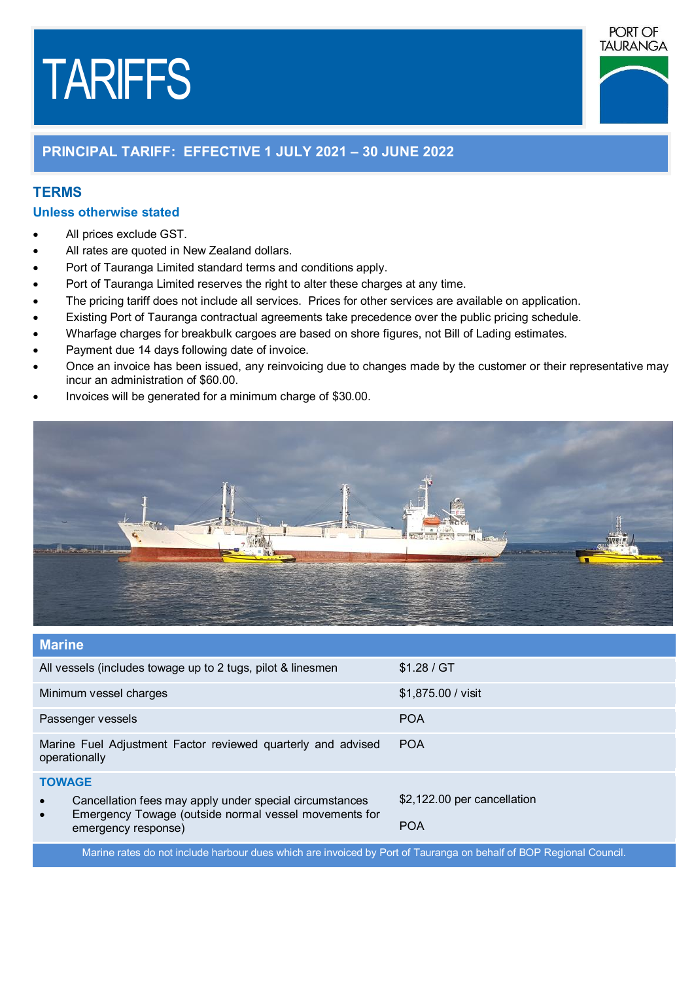# TARIFFS



## **PRINCIPAL TARIFF: EFFECTIVE 1 JULY 2021 – 30 JUNE 2022**

### **TERMS**

#### **Unless otherwise stated**

- ∂ All prices exclude GST.
- ∂ All rates are quoted in New Zealand dollars.
- Port of Tauranga Limited standard terms and conditions apply.
- Port of Tauranga Limited reserves the right to alter these charges at any time.
- The pricing tariff does not include all services. Prices for other services are available on application.
- Existing Port of Tauranga contractual agreements take precedence over the public pricing schedule.
- Wharfage charges for breakbulk cargoes are based on shore figures, not Bill of Lading estimates.
- ∂ Payment due 14 days following date of invoice.
- ∂ Once an invoice has been issued, any reinvoicing due to changes made by the customer or their representative may incur an administration of \$60.00.
- Invoices will be generated for a minimum charge of \$30.00.



| <b>Marine</b>                                                                                                                 |                             |
|-------------------------------------------------------------------------------------------------------------------------------|-----------------------------|
| All vessels (includes towage up to 2 tugs, pilot & linesmen                                                                   | \$1.28 / GT                 |
| Minimum vessel charges                                                                                                        | \$1,875.00 / visit          |
| Passenger vessels                                                                                                             | <b>POA</b>                  |
| Marine Fuel Adjustment Factor reviewed quarterly and advised<br>operationally                                                 | <b>POA</b>                  |
| <b>TOWAGE</b>                                                                                                                 |                             |
| Cancellation fees may apply under special circumstances<br>Emergency Towage (outside normal vessel movements for<br>$\bullet$ | \$2,122.00 per cancellation |
| emergency response)                                                                                                           | <b>POA</b>                  |
| Master with the set to deal of book and all the book to all be found of Towers or the book of DOD Destaural Occupati          |                             |

Marine rates do not include harbour dues which are invoiced by Port of Tauranga on behalf of BOP Regional Council.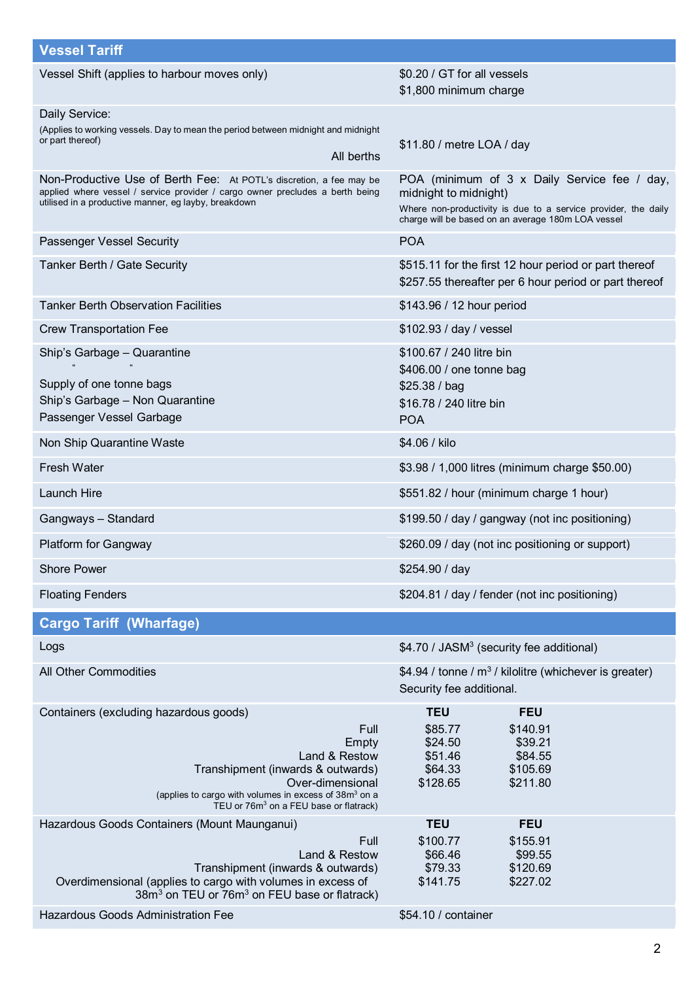| <b>Vessel Tariff</b>                                                                                                                                                                                         |                                                                                                                      |  |
|--------------------------------------------------------------------------------------------------------------------------------------------------------------------------------------------------------------|----------------------------------------------------------------------------------------------------------------------|--|
|                                                                                                                                                                                                              |                                                                                                                      |  |
| Vessel Shift (applies to harbour moves only)                                                                                                                                                                 | \$0.20 / GT for all vessels<br>\$1,800 minimum charge                                                                |  |
| Daily Service:                                                                                                                                                                                               |                                                                                                                      |  |
| (Applies to working vessels. Day to mean the period between midnight and midnight<br>or part thereof)                                                                                                        |                                                                                                                      |  |
| All berths                                                                                                                                                                                                   | \$11.80 / metre LOA / day                                                                                            |  |
| Non-Productive Use of Berth Fee: At POTL's discretion, a fee may be<br>applied where vessel / service provider / cargo owner precludes a berth being<br>utilised in a productive manner, eg layby, breakdown | POA (minimum of 3 x Daily Service fee / day,<br>midnight to midnight)                                                |  |
|                                                                                                                                                                                                              | Where non-productivity is due to a service provider, the daily<br>charge will be based on an average 180m LOA vessel |  |
| Passenger Vessel Security                                                                                                                                                                                    | <b>POA</b>                                                                                                           |  |
| Tanker Berth / Gate Security                                                                                                                                                                                 | \$515.11 for the first 12 hour period or part thereof<br>\$257.55 thereafter per 6 hour period or part thereof       |  |
| <b>Tanker Berth Observation Facilities</b>                                                                                                                                                                   | \$143.96 / 12 hour period                                                                                            |  |
| <b>Crew Transportation Fee</b>                                                                                                                                                                               | \$102.93 / day / vessel                                                                                              |  |
| Ship's Garbage - Quarantine<br>$\alpha$<br>$\alpha$                                                                                                                                                          | \$100.67 / 240 litre bin<br>\$406.00 / one tonne bag                                                                 |  |
| Supply of one tonne bags                                                                                                                                                                                     | \$25.38 / bag                                                                                                        |  |
| Ship's Garbage - Non Quarantine                                                                                                                                                                              | \$16.78 / 240 litre bin                                                                                              |  |
| Passenger Vessel Garbage                                                                                                                                                                                     | <b>POA</b>                                                                                                           |  |
| Non Ship Quarantine Waste                                                                                                                                                                                    | \$4.06 / kilo                                                                                                        |  |
| Fresh Water                                                                                                                                                                                                  | \$3.98 / 1,000 litres (minimum charge \$50.00)                                                                       |  |
| <b>Launch Hire</b>                                                                                                                                                                                           | \$551.82 / hour (minimum charge 1 hour)                                                                              |  |
| Gangways - Standard                                                                                                                                                                                          | \$199.50 / day / gangway (not inc positioning)                                                                       |  |
| <b>Platform for Gangway</b>                                                                                                                                                                                  | \$260.09 / day (not inc positioning or support)                                                                      |  |
| <b>Shore Power</b>                                                                                                                                                                                           | \$254.90 / day                                                                                                       |  |
| <b>Floating Fenders</b>                                                                                                                                                                                      | \$204.81 / day / fender (not inc positioning)                                                                        |  |
| <b>Cargo Tariff (Wharfage)</b>                                                                                                                                                                               |                                                                                                                      |  |
| Logs                                                                                                                                                                                                         | \$4.70 / JASM <sup>3</sup> (security fee additional)                                                                 |  |
| All Other Commodities                                                                                                                                                                                        | \$4.94 / tonne / $m^3$ / kilolitre (whichever is greater)                                                            |  |
|                                                                                                                                                                                                              | Security fee additional.                                                                                             |  |
| Containers (excluding hazardous goods)                                                                                                                                                                       | <b>TEU</b><br><b>FEU</b>                                                                                             |  |
| Full                                                                                                                                                                                                         | \$85.77<br>\$140.91                                                                                                  |  |
| Empty<br>Land & Restow                                                                                                                                                                                       | \$24.50<br>\$39.21<br>\$51.46<br>\$84.55                                                                             |  |
| Transhipment (inwards & outwards)                                                                                                                                                                            | \$105.69<br>\$64.33                                                                                                  |  |
| Over-dimensional<br>(applies to cargo with volumes in excess of 38m <sup>3</sup> on a                                                                                                                        | \$128.65<br>\$211.80                                                                                                 |  |
| TEU or 76m <sup>3</sup> on a FEU base or flatrack)                                                                                                                                                           |                                                                                                                      |  |
| Hazardous Goods Containers (Mount Maunganui)                                                                                                                                                                 | <b>TEU</b><br><b>FEU</b>                                                                                             |  |
| Full<br>Land & Restow                                                                                                                                                                                        | \$100.77<br>\$155.91<br>\$66.46<br>\$99.55                                                                           |  |
| Transhipment (inwards & outwards)                                                                                                                                                                            | \$79.33<br>\$120.69                                                                                                  |  |
| Overdimensional (applies to cargo with volumes in excess of<br>38m <sup>3</sup> on TEU or 76m <sup>3</sup> on FEU base or flatrack)                                                                          | \$227.02<br>\$141.75                                                                                                 |  |
| Hazardous Goods Administration Fee                                                                                                                                                                           | \$54.10 / container                                                                                                  |  |

2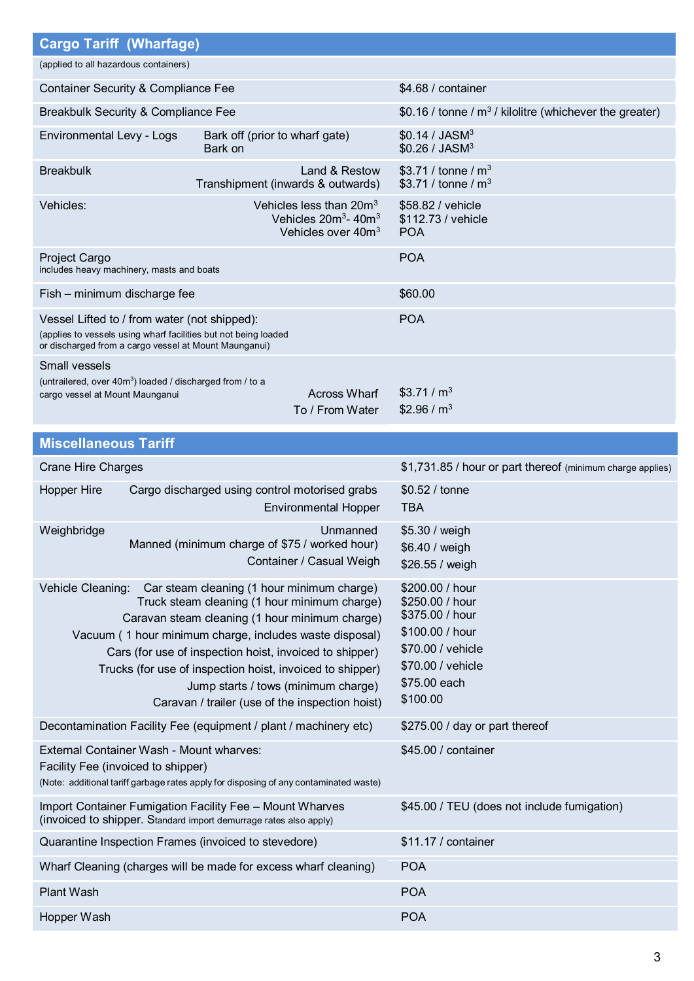| <b>Cargo Tariff (Wharfage)</b>                                                                                                                                                                                                                                                                                                                                                                                                                 |                                                                                                     |                                                                                                                                                |  |
|------------------------------------------------------------------------------------------------------------------------------------------------------------------------------------------------------------------------------------------------------------------------------------------------------------------------------------------------------------------------------------------------------------------------------------------------|-----------------------------------------------------------------------------------------------------|------------------------------------------------------------------------------------------------------------------------------------------------|--|
| (applied to all hazardous containers)                                                                                                                                                                                                                                                                                                                                                                                                          |                                                                                                     |                                                                                                                                                |  |
| <b>Container Security &amp; Compliance Fee</b>                                                                                                                                                                                                                                                                                                                                                                                                 |                                                                                                     | \$4.68 / container                                                                                                                             |  |
| Breakbulk Security & Compliance Fee                                                                                                                                                                                                                                                                                                                                                                                                            |                                                                                                     | \$0.16 / tonne / $m^3$ / kilolitre (whichever the greater)                                                                                     |  |
| Environmental Levy - Logs                                                                                                                                                                                                                                                                                                                                                                                                                      | Bark off (prior to wharf gate)<br>Bark on                                                           | \$0.14 / JASM <sup>3</sup><br>\$0.26 / JASM <sup>3</sup>                                                                                       |  |
| <b>Breakbulk</b>                                                                                                                                                                                                                                                                                                                                                                                                                               | Land & Restow<br>Transhipment (inwards & outwards)                                                  | \$3.71 / tonne / $m^3$<br>\$3.71 / tonne / $m^3$                                                                                               |  |
| Vehicles:                                                                                                                                                                                                                                                                                                                                                                                                                                      | Vehicles less than 20m <sup>3</sup><br>Vehicles $20m^3$ - $40m^3$<br>Vehicles over 40m <sup>3</sup> | \$58.82 / vehicle<br>\$112.73 / vehicle<br><b>POA</b>                                                                                          |  |
| Project Cargo<br>includes heavy machinery, masts and boats                                                                                                                                                                                                                                                                                                                                                                                     |                                                                                                     | <b>POA</b>                                                                                                                                     |  |
| Fish - minimum discharge fee                                                                                                                                                                                                                                                                                                                                                                                                                   |                                                                                                     | \$60.00                                                                                                                                        |  |
| Vessel Lifted to / from water (not shipped):<br>(applies to vessels using wharf facilities but not being loaded<br>or discharged from a cargo vessel at Mount Maunganui)                                                                                                                                                                                                                                                                       |                                                                                                     | <b>POA</b>                                                                                                                                     |  |
| <b>Small vessels</b><br>(untrailered, over 40m <sup>3</sup> ) loaded / discharged from / to a<br>cargo vessel at Mount Maunganui                                                                                                                                                                                                                                                                                                               | <b>Across Wharf</b><br>To / From Water                                                              | \$3.71/m <sup>3</sup><br>\$2.96 / $m3$                                                                                                         |  |
| <b>Miscellaneous Tariff</b>                                                                                                                                                                                                                                                                                                                                                                                                                    |                                                                                                     |                                                                                                                                                |  |
| <b>Crane Hire Charges</b>                                                                                                                                                                                                                                                                                                                                                                                                                      |                                                                                                     | \$1,731.85 / hour or part thereof (minimum charge applies)                                                                                     |  |
| <b>Hopper Hire</b>                                                                                                                                                                                                                                                                                                                                                                                                                             | Cargo discharged using control motorised grabs<br><b>Environmental Hopper</b>                       | \$0.52 / tonne<br><b>TBA</b>                                                                                                                   |  |
| Weighbridge                                                                                                                                                                                                                                                                                                                                                                                                                                    | Unmanned<br>Manned (minimum charge of \$75 / worked hour)<br>Container / Casual Weigh               | \$5.30 / weigh<br>\$6.40 / weigh<br>\$26.55 / weigh                                                                                            |  |
| Car steam cleaning (1 hour minimum charge)<br>Vehicle Cleaning:<br>Truck steam cleaning (1 hour minimum charge)<br>Caravan steam cleaning (1 hour minimum charge)<br>Vacuum (1 hour minimum charge, includes waste disposal)<br>Cars (for use of inspection hoist, invoiced to shipper)<br>Trucks (for use of inspection hoist, invoiced to shipper)<br>Jump starts / tows (minimum charge)<br>Caravan / trailer (use of the inspection hoist) |                                                                                                     | \$200.00 / hour<br>\$250.00 / hour<br>\$375.00 / hour<br>\$100.00 / hour<br>\$70.00 / vehicle<br>\$70.00 / vehicle<br>\$75.00 each<br>\$100.00 |  |
|                                                                                                                                                                                                                                                                                                                                                                                                                                                | Decontamination Facility Fee (equipment / plant / machinery etc)                                    | \$275.00 / day or part thereof                                                                                                                 |  |
| External Container Wash - Mount wharves:<br>Facility Fee (invoiced to shipper)                                                                                                                                                                                                                                                                                                                                                                 | (Note: additional tariff garbage rates apply for disposing of any contaminated waste)               | \$45.00 / container                                                                                                                            |  |
| Import Container Fumigation Facility Fee - Mount Wharves<br>(invoiced to shipper. Standard import demurrage rates also apply)                                                                                                                                                                                                                                                                                                                  |                                                                                                     | \$45.00 / TEU (does not include fumigation)                                                                                                    |  |
| Quarantine Inspection Frames (invoiced to stevedore)                                                                                                                                                                                                                                                                                                                                                                                           |                                                                                                     | \$11.17 / container                                                                                                                            |  |
| Wharf Cleaning (charges will be made for excess wharf cleaning)                                                                                                                                                                                                                                                                                                                                                                                |                                                                                                     | <b>POA</b>                                                                                                                                     |  |
| <b>Plant Wash</b>                                                                                                                                                                                                                                                                                                                                                                                                                              |                                                                                                     |                                                                                                                                                |  |
|                                                                                                                                                                                                                                                                                                                                                                                                                                                |                                                                                                     | <b>POA</b>                                                                                                                                     |  |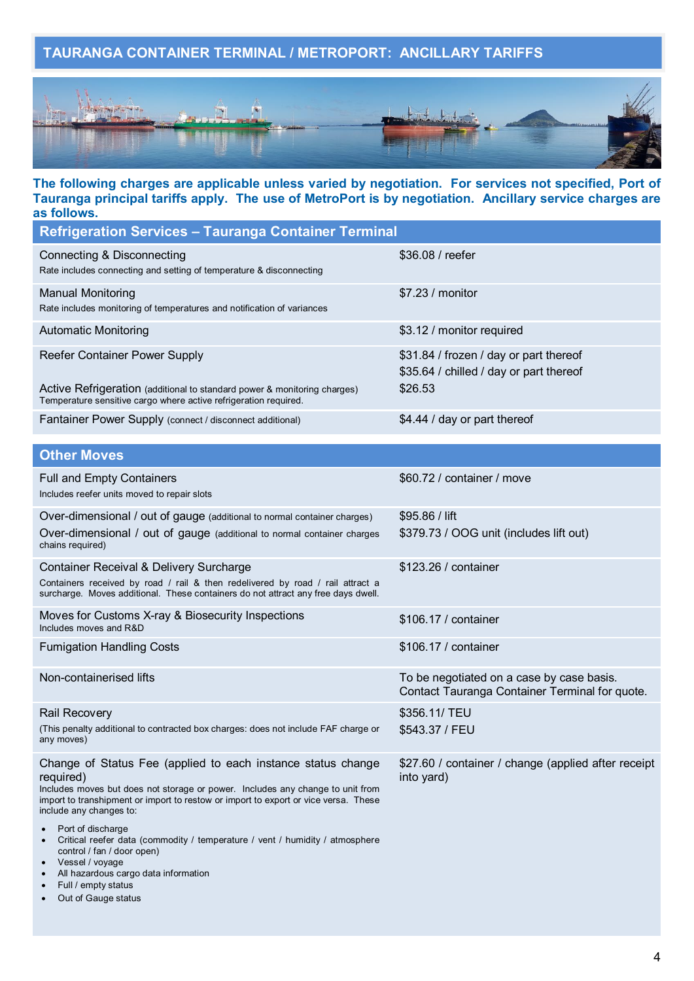## **TAURANGA CONTAINER TERMINAL / METROPORT: ANCILLARY TARIFFS**



#### **The following charges are applicable unless varied by negotiation. For services not specified, Port of Tauranga principal tariffs apply. The use of MetroPort is by negotiation. Ancillary service charges are as follows.**

| <b>Refrigeration Services - Tauranga Container Terminal</b>                                                                                                                                                                                                                                        |                                                                                              |
|----------------------------------------------------------------------------------------------------------------------------------------------------------------------------------------------------------------------------------------------------------------------------------------------------|----------------------------------------------------------------------------------------------|
| <b>Connecting &amp; Disconnecting</b><br>Rate includes connecting and setting of temperature & disconnecting                                                                                                                                                                                       | \$36.08 / reefer                                                                             |
| <b>Manual Monitoring</b><br>Rate includes monitoring of temperatures and notification of variances                                                                                                                                                                                                 | \$7.23 / monitor                                                                             |
| <b>Automatic Monitoring</b>                                                                                                                                                                                                                                                                        | \$3.12 / monitor required                                                                    |
| <b>Reefer Container Power Supply</b><br>Active Refrigeration (additional to standard power & monitoring charges)<br>Temperature sensitive cargo where active refrigeration required.                                                                                                               | \$31.84 / frozen / day or part thereof<br>\$35.64 / chilled / day or part thereof<br>\$26.53 |
| Fantainer Power Supply (connect / disconnect additional)                                                                                                                                                                                                                                           | \$4.44 / day or part thereof                                                                 |
| <b>Other Moves</b>                                                                                                                                                                                                                                                                                 |                                                                                              |
| <b>Full and Empty Containers</b><br>Includes reefer units moved to repair slots                                                                                                                                                                                                                    | \$60.72 / container / move                                                                   |
| Over-dimensional / out of gauge (additional to normal container charges)<br>Over-dimensional / out of gauge (additional to normal container charges<br>chains required)                                                                                                                            | $$95.86 /$ lift<br>\$379.73 / OOG unit (includes lift out)                                   |
| Container Receival & Delivery Surcharge<br>Containers received by road / rail & then redelivered by road / rail attract a<br>surcharge. Moves additional. These containers do not attract any free days dwell.                                                                                     | \$123.26 / container                                                                         |
| Moves for Customs X-ray & Biosecurity Inspections<br>Includes moves and R&D                                                                                                                                                                                                                        | \$106.17 / container                                                                         |
| <b>Fumigation Handling Costs</b>                                                                                                                                                                                                                                                                   | \$106.17 / container                                                                         |
| Non-containerised lifts                                                                                                                                                                                                                                                                            | To be negotiated on a case by case basis.<br>Contact Tauranga Container Terminal for quote.  |
| <b>Rail Recovery</b>                                                                                                                                                                                                                                                                               | \$356.11/ TEU                                                                                |
| (This penalty additional to contracted box charges: does not include FAF charge or<br>any moves)                                                                                                                                                                                                   | \$543.37 / FEU                                                                               |
| Change of Status Fee (applied to each instance status change<br>required)<br>Includes moves but does not storage or power. Includes any change to unit from<br>import to transhipment or import to restow or import to export or vice versa. These<br>include any changes to:<br>Port of discharge | \$27.60 / container / change (applied after receipt<br>into yard)                            |
| Critical reefer data (commodity / temperature / vent / humidity / atmosphere<br>control / fan / door open)<br>Vessel / voyage<br>All hazardous cargo data information                                                                                                                              |                                                                                              |

- Full / empty status
- ∂ Out of Gauge status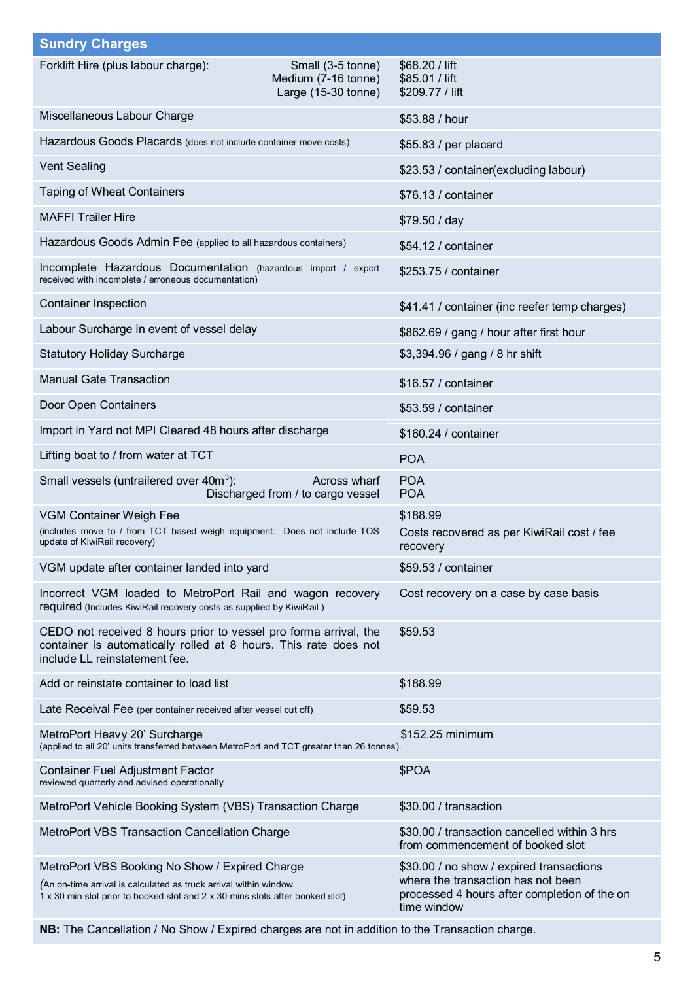| <b>Sundry Charges</b>                                                                                                                                                                               |                                                                 |                                                                                                                                               |  |
|-----------------------------------------------------------------------------------------------------------------------------------------------------------------------------------------------------|-----------------------------------------------------------------|-----------------------------------------------------------------------------------------------------------------------------------------------|--|
| Forklift Hire (plus labour charge):                                                                                                                                                                 | Small (3-5 tonne)<br>Medium (7-16 tonne)<br>Large (15-30 tonne) | \$68.20 / lift<br>\$85.01 / lift<br>\$209.77 / lift                                                                                           |  |
| Miscellaneous Labour Charge                                                                                                                                                                         |                                                                 | \$53.88 / hour                                                                                                                                |  |
| Hazardous Goods Placards (does not include container move costs)                                                                                                                                    |                                                                 | \$55.83 / per placard                                                                                                                         |  |
| <b>Vent Sealing</b>                                                                                                                                                                                 |                                                                 | \$23.53 / container(excluding labour)                                                                                                         |  |
| <b>Taping of Wheat Containers</b>                                                                                                                                                                   |                                                                 | \$76.13 / container                                                                                                                           |  |
| <b>MAFFI Trailer Hire</b>                                                                                                                                                                           |                                                                 | \$79.50 / day                                                                                                                                 |  |
| Hazardous Goods Admin Fee (applied to all hazardous containers)                                                                                                                                     |                                                                 | \$54.12 / container                                                                                                                           |  |
| Incomplete Hazardous Documentation (hazardous import / export<br>received with incomplete / erroneous documentation)                                                                                |                                                                 | \$253.75 / container                                                                                                                          |  |
| <b>Container Inspection</b>                                                                                                                                                                         |                                                                 | \$41.41 / container (inc reefer temp charges)                                                                                                 |  |
| Labour Surcharge in event of vessel delay                                                                                                                                                           |                                                                 | \$862.69 / gang / hour after first hour                                                                                                       |  |
| <b>Statutory Holiday Surcharge</b>                                                                                                                                                                  |                                                                 | \$3,394.96 / gang / 8 hr shift                                                                                                                |  |
| <b>Manual Gate Transaction</b>                                                                                                                                                                      |                                                                 | \$16.57 / container                                                                                                                           |  |
| Door Open Containers                                                                                                                                                                                |                                                                 | \$53.59 / container                                                                                                                           |  |
| Import in Yard not MPI Cleared 48 hours after discharge                                                                                                                                             |                                                                 | \$160.24 / container                                                                                                                          |  |
| Lifting boat to / from water at TCT                                                                                                                                                                 |                                                                 | <b>POA</b>                                                                                                                                    |  |
| Small vessels (untrailered over 40m <sup>3</sup> ):                                                                                                                                                 | Across wharf<br>Discharged from / to cargo vessel               | <b>POA</b><br><b>POA</b>                                                                                                                      |  |
| VGM Container Weigh Fee<br>(includes move to / from TCT based weigh equipment. Does not include TOS<br>update of KiwiRail recovery)                                                                 |                                                                 | \$188.99<br>Costs recovered as per KiwiRail cost / fee<br>recovery                                                                            |  |
| VGM update after container landed into yard                                                                                                                                                         |                                                                 | \$59.53 / container                                                                                                                           |  |
| Incorrect VGM loaded to MetroPort Rail and wagon recovery<br>required (Includes KiwiRail recovery costs as supplied by KiwiRail)                                                                    |                                                                 | Cost recovery on a case by case basis                                                                                                         |  |
| CEDO not received 8 hours prior to vessel pro forma arrival, the<br>container is automatically rolled at 8 hours. This rate does not<br>include LL reinstatement fee.                               |                                                                 | \$59.53                                                                                                                                       |  |
| Add or reinstate container to load list                                                                                                                                                             |                                                                 | \$188.99                                                                                                                                      |  |
| Late Receival Fee (per container received after vessel cut off)                                                                                                                                     |                                                                 | \$59.53                                                                                                                                       |  |
| MetroPort Heavy 20' Surcharge<br>(applied to all 20' units transferred between MetroPort and TCT greater than 26 tonnes).                                                                           |                                                                 | \$152.25 minimum                                                                                                                              |  |
| Container Fuel Adjustment Factor<br>reviewed quarterly and advised operationally                                                                                                                    |                                                                 | \$POA                                                                                                                                         |  |
| MetroPort Vehicle Booking System (VBS) Transaction Charge                                                                                                                                           |                                                                 | \$30.00 / transaction                                                                                                                         |  |
| MetroPort VBS Transaction Cancellation Charge                                                                                                                                                       |                                                                 | \$30.00 / transaction cancelled within 3 hrs<br>from commencement of booked slot                                                              |  |
| MetroPort VBS Booking No Show / Expired Charge<br>(An on-time arrival is calculated as truck arrival within window<br>1 x 30 min slot prior to booked slot and 2 x 30 mins slots after booked slot) |                                                                 | \$30.00 / no show / expired transactions<br>where the transaction has not been<br>processed 4 hours after completion of the on<br>time window |  |

**NB:** The Cancellation / No Show / Expired charges are not in addition to the Transaction charge.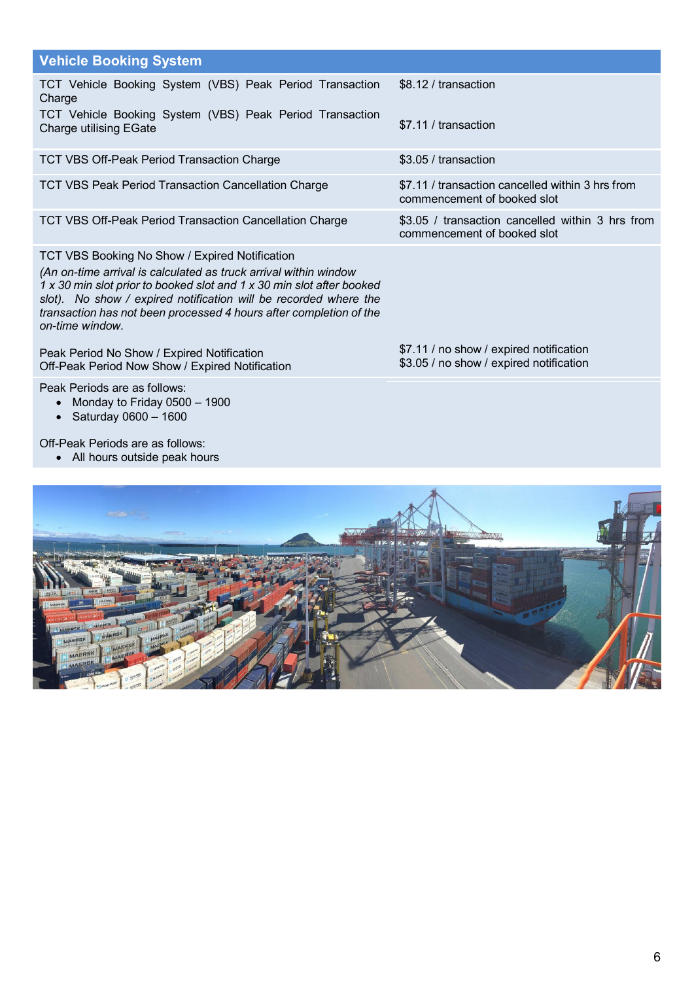| <b>Vehicle Booking System</b>                                                                                                                                                                                                                                                                                                                            |                                                                                 |
|----------------------------------------------------------------------------------------------------------------------------------------------------------------------------------------------------------------------------------------------------------------------------------------------------------------------------------------------------------|---------------------------------------------------------------------------------|
| TCT Vehicle Booking System (VBS) Peak Period Transaction<br>Charge                                                                                                                                                                                                                                                                                       | \$8.12 / transaction                                                            |
| TCT Vehicle Booking System (VBS) Peak Period Transaction<br><b>Charge utilising EGate</b>                                                                                                                                                                                                                                                                | \$7.11 / transaction                                                            |
| TCT VBS Off-Peak Period Transaction Charge                                                                                                                                                                                                                                                                                                               | \$3.05 / transaction                                                            |
| <b>TCT VBS Peak Period Transaction Cancellation Charge</b>                                                                                                                                                                                                                                                                                               | \$7.11 / transaction cancelled within 3 hrs from<br>commencement of booked slot |
| <b>TCT VBS Off-Peak Period Transaction Cancellation Charge</b>                                                                                                                                                                                                                                                                                           | \$3.05 / transaction cancelled within 3 hrs from<br>commencement of booked slot |
| TCT VBS Booking No Show / Expired Notification<br>(An on-time arrival is calculated as truck arrival within window<br>1 x 30 min slot prior to booked slot and 1 x 30 min slot after booked<br>slot). No show / expired notification will be recorded where the<br>transaction has not been processed 4 hours after completion of the<br>on-time window. |                                                                                 |

\$7.11 / no show / expired notification \$3.05 / no show / expired notification

Peak Period No Show / Expired Notification Off-Peak Period Now Show / Expired Notification

Peak Periods are as follows:

- ∂ Monday to Friday 0500 1900
- ∂ Saturday 0600 1600

Off-Peak Periods are as follows:

∂ All hours outside peak hours

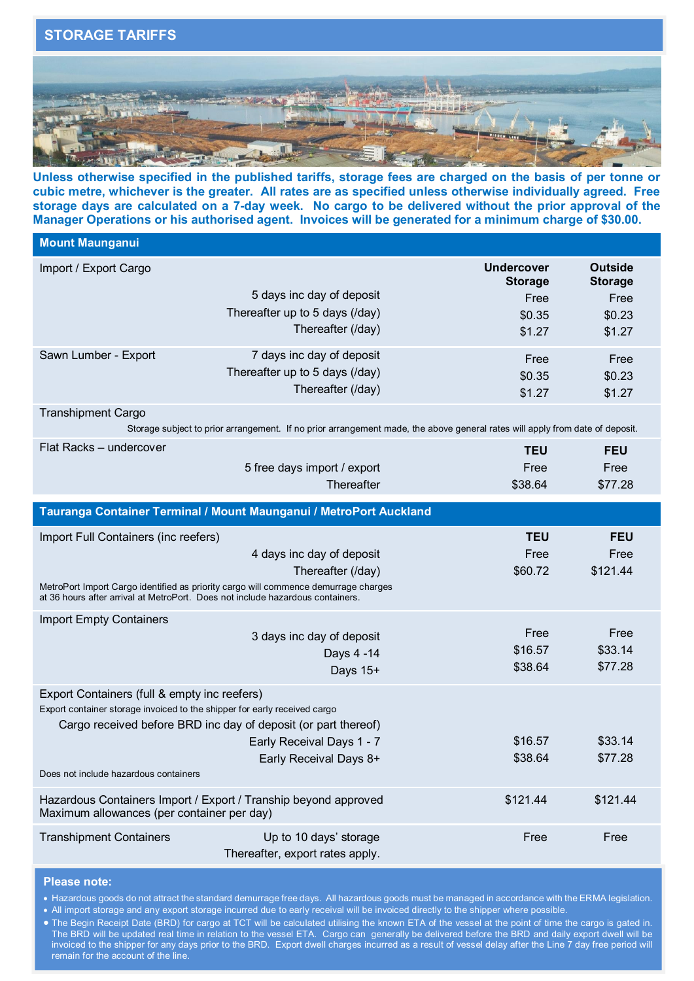

**Unless otherwise specified in the published tariffs, storage fees are charged on the basis of per tonne or cubic metre, whichever is the greater. All rates are as specified unless otherwise individually agreed. Free storage days are calculated on a 7-day week. No cargo to be delivered without the prior approval of the Manager Operations or his authorised agent. Invoices will be generated for a minimum charge of \$30.00.**

| <b>Mount Maunganui</b>                                                                                                                                                |                                                                 |                                     |                                  |
|-----------------------------------------------------------------------------------------------------------------------------------------------------------------------|-----------------------------------------------------------------|-------------------------------------|----------------------------------|
| Import / Export Cargo                                                                                                                                                 |                                                                 | <b>Undercover</b><br><b>Storage</b> | <b>Outside</b><br><b>Storage</b> |
|                                                                                                                                                                       | 5 days inc day of deposit                                       | Free                                | Free                             |
|                                                                                                                                                                       | Thereafter up to 5 days (/day)                                  | \$0.35                              | \$0.23                           |
|                                                                                                                                                                       | Thereafter (/day)                                               | \$1.27                              | \$1.27                           |
| Sawn Lumber - Export                                                                                                                                                  | 7 days inc day of deposit                                       | Free                                | Free                             |
|                                                                                                                                                                       | Thereafter up to 5 days (/day)                                  | \$0.35                              | \$0.23                           |
|                                                                                                                                                                       | Thereafter (/day)                                               | \$1.27                              | \$1.27                           |
| <b>Transhipment Cargo</b><br>Storage subject to prior arrangement. If no prior arrangement made, the above general rates will apply from date of deposit.             |                                                                 |                                     |                                  |
| Flat Racks - undercover                                                                                                                                               |                                                                 | <b>TEU</b>                          | <b>FEU</b>                       |
|                                                                                                                                                                       | 5 free days import / export                                     | Free                                | Free                             |
|                                                                                                                                                                       | Thereafter                                                      | \$38.64                             | \$77.28                          |
| Tauranga Container Terminal / Mount Maunganui / MetroPort Auckland                                                                                                    |                                                                 |                                     |                                  |
|                                                                                                                                                                       |                                                                 |                                     |                                  |
| Import Full Containers (inc reefers)                                                                                                                                  |                                                                 | <b>TEU</b>                          | <b>FEU</b>                       |
|                                                                                                                                                                       | 4 days inc day of deposit                                       | Free                                | Free                             |
|                                                                                                                                                                       | Thereafter (/day)                                               | \$60.72                             | \$121.44                         |
| MetroPort Import Cargo identified as priority cargo will commence demurrage charges<br>at 36 hours after arrival at MetroPort. Does not include hazardous containers. |                                                                 |                                     |                                  |
| <b>Import Empty Containers</b>                                                                                                                                        |                                                                 |                                     |                                  |
|                                                                                                                                                                       | 3 days inc day of deposit                                       | Free                                | Free                             |
|                                                                                                                                                                       | Days 4 -14                                                      | \$16.57                             | \$33.14                          |
|                                                                                                                                                                       | Days 15+                                                        | \$38.64                             | \$77.28                          |
| Export Containers (full & empty inc reefers)<br>Export container storage invoiced to the shipper for early received cargo                                             |                                                                 |                                     |                                  |
|                                                                                                                                                                       | Cargo received before BRD inc day of deposit (or part thereof)  |                                     |                                  |
|                                                                                                                                                                       | Early Receival Days 1 - 7                                       | \$16.57                             | \$33.14                          |
| Does not include hazardous containers                                                                                                                                 | Early Receival Days 8+                                          | \$38.64                             | \$77.28                          |
|                                                                                                                                                                       |                                                                 |                                     |                                  |
| Maximum allowances (per container per day)                                                                                                                            | Hazardous Containers Import / Export / Tranship beyond approved | \$121.44                            | \$121.44                         |
| <b>Transhipment Containers</b>                                                                                                                                        | Up to 10 days' storage                                          | Free                                | Free                             |
|                                                                                                                                                                       | Thereafter, export rates apply.                                 |                                     |                                  |

#### **Please note:**

∂ Hazardous goods do not attract the standard demurrage free days. All hazardous goods must be managed in accordance with the ERMA legislation. ● All import storage and any export storage incurred due to early receival will be invoiced directly to the shipper where possible.

∂ The Begin Receipt Date (BRD) for cargo at TCT will be calculated utilising the known ETA of the vessel at the point of time the cargo is gated in. The BRD will be updated real time in relation to the vessel ETA. Cargo can generally be delivered before the BRD and daily export dwell will be invoiced to the shipper for any days prior to the BRD. Export dwell charges incurred as a result of vessel delay after the Line 7 day free period will remain for the account of the line.